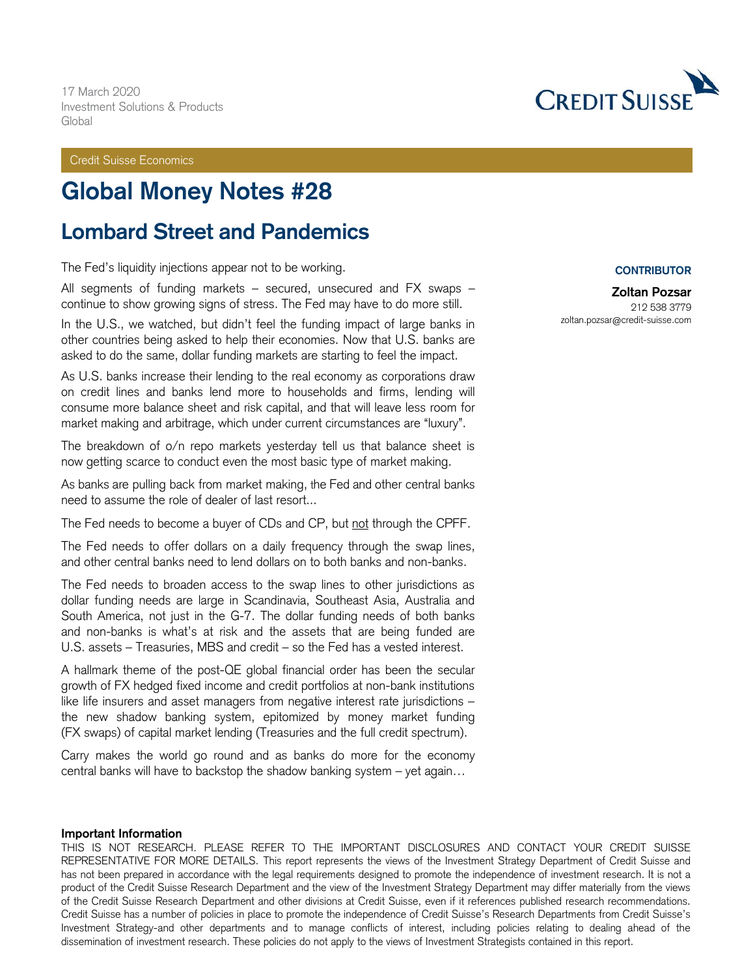17 March 2020 Investment Solutions & Products Global

Credit Suisse Economics

## **Global Money Notes #28**

### **Lombard Street and Pandemics**

The Fed's liquidity injections appear not to be working.

All segments of funding markets – secured, unsecured and FX swaps – continue to show growing signs of stress. The Fed may have to do more still.

In the U.S., we watched, but didn't feel the funding impact of large banks in other countries being asked to help their economies. Now that U.S. banks are asked to do the same, dollar funding markets are starting to feel the impact.

As U.S. banks increase their lending to the real economy as corporations draw on credit lines and banks lend more to households and firms, lending will consume more balance sheet and risk capital, and that will leave less room for market making and arbitrage, which under current circumstances are "luxury".

The breakdown of o/n repo markets yesterday tell us that balance sheet is now getting scarce to conduct even the most basic type of market making.

As banks are pulling back from market making, the Fed and other central banks need to assume the role of dealer of last resort...

The Fed needs to become a buyer of CDs and CP, but not through the CPFF.

The Fed needs to offer dollars on a daily frequency through the swap lines, and other central banks need to lend dollars on to both banks and non-banks.

The Fed needs to broaden access to the swap lines to other jurisdictions as dollar funding needs are large in Scandinavia, Southeast Asia, Australia and South America, not just in the G-7. The dollar funding needs of both banks and non-banks is what's at risk and the assets that are being funded are U.S. assets – Treasuries, MBS and credit – so the Fed has a vested interest.

A hallmark theme of the post-QE global financial order has been the secular growth of FX hedged fixed income and credit portfolios at non-bank institutions like life insurers and asset managers from negative interest rate jurisdictions – the new shadow banking system, epitomized by money market funding (FX swaps) of capital market lending (Treasuries and the full credit spectrum).

Carry makes the world go round and as banks do more for the economy central banks will have to backstop the shadow banking system – yet again…

# **CREDIT SUISSI**

#### **CONTRIBUTOR**

**Zoltan Pozsar** 212 538 3779 zoltan.pozsar@credit-suisse.com

#### **Important Information**

THIS IS NOT RESEARCH. PLEASE REFER TO THE IMPORTANT DISCLOSURES AND CONTACT YOUR CREDIT SUISSE REPRESENTATIVE FOR MORE DETAILS. This report represents the views of the Investment Strategy Department of Credit Suisse and has not been prepared in accordance with the legal requirements designed to promote the independence of investment research. It is not a product of the Credit Suisse Research Department and the view of the Investment Strategy Department may differ materially from the views of the Credit Suisse Research Department and other divisions at Credit Suisse, even if it references published research recommendations. Credit Suisse has a number of policies in place to promote the independence of Credit Suisse's Research Departments from Credit Suisse's Investment Strategy-and other departments and to manage conflicts of interest, including policies relating to dealing ahead of the dissemination of investment research. These policies do not apply to the views of Investment Strategists contained in this report.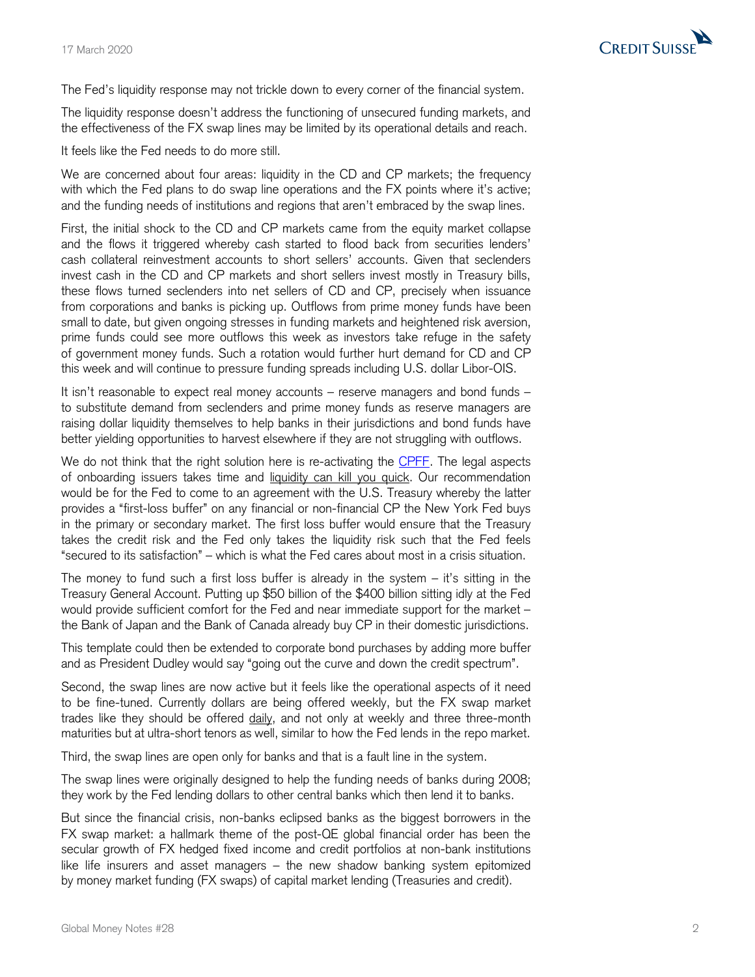

The Fed's liquidity response may not trickle down to every corner of the financial system.

The liquidity response doesn't address the functioning of unsecured funding markets, and the effectiveness of the FX swap lines may be limited by its operational details and reach.

It feels like the Fed needs to do more still.

We are concerned about four areas: liquidity in the CD and CP markets; the frequency with which the Fed plans to do swap line operations and the FX points where it's active; and the funding needs of institutions and regions that aren't embraced by the swap lines.

First, the initial shock to the CD and CP markets came from the equity market collapse and the flows it triggered whereby cash started to flood back from securities lenders' cash collateral reinvestment accounts to short sellers' accounts. Given that seclenders invest cash in the CD and CP markets and short sellers invest mostly in Treasury bills, these flows turned seclenders into net sellers of CD and CP, precisely when issuance from corporations and banks is picking up. Outflows from prime money funds have been small to date, but given ongoing stresses in funding markets and heightened risk aversion, prime funds could see more outflows this week as investors take refuge in the safety of government money funds. Such a rotation would further hurt demand for CD and CP this week and will continue to pressure funding spreads including U.S. dollar Libor-OIS.

It isn't reasonable to expect real money accounts – reserve managers and bond funds – to substitute demand from seclenders and prime money funds as reserve managers are raising dollar liquidity themselves to help banks in their jurisdictions and bond funds have better yielding opportunities to harvest elsewhere if they are not struggling with outflows.

We do not think that the right solution here is re-activating the [CPFF.](https://www.federalreserve.gov/regreform/reform-cpff.htm) The legal aspects of onboarding issuers takes time and liquidity can kill you quick. Our recommendation would be for the Fed to come to an agreement with the U.S. Treasury whereby the latter provides a "first-loss buffer" on any financial or non-financial CP the New York Fed buys in the primary or secondary market. The first loss buffer would ensure that the Treasury takes the credit risk and the Fed only takes the liquidity risk such that the Fed feels "secured to its satisfaction" – which is what the Fed cares about most in a crisis situation.

The money to fund such a first loss buffer is already in the system  $-$  it's sitting in the Treasury General Account. Putting up \$50 billion of the \$400 billion sitting idly at the Fed would provide sufficient comfort for the Fed and near immediate support for the market – the Bank of Japan and the Bank of Canada already buy CP in their domestic jurisdictions.

This template could then be extended to corporate bond purchases by adding more buffer and as President Dudley would say "going out the curve and down the credit spectrum".

Second, the swap lines are now active but it feels like the operational aspects of it need to be fine-tuned. Currently dollars are being offered weekly, but the FX swap market trades like they should be offered daily, and not only at weekly and three three-month maturities but at ultra-short tenors as well, similar to how the Fed lends in the repo market.

Third, the swap lines are open only for banks and that is a fault line in the system.

The swap lines were originally designed to help the funding needs of banks during 2008; they work by the Fed lending dollars to other central banks which then lend it to banks.

But since the financial crisis, non-banks eclipsed banks as the biggest borrowers in the FX swap market: a hallmark theme of the post-QE global financial order has been the secular growth of FX hedged fixed income and credit portfolios at non-bank institutions like life insurers and asset managers – the new shadow banking system epitomized by money market funding (FX swaps) of capital market lending (Treasuries and credit).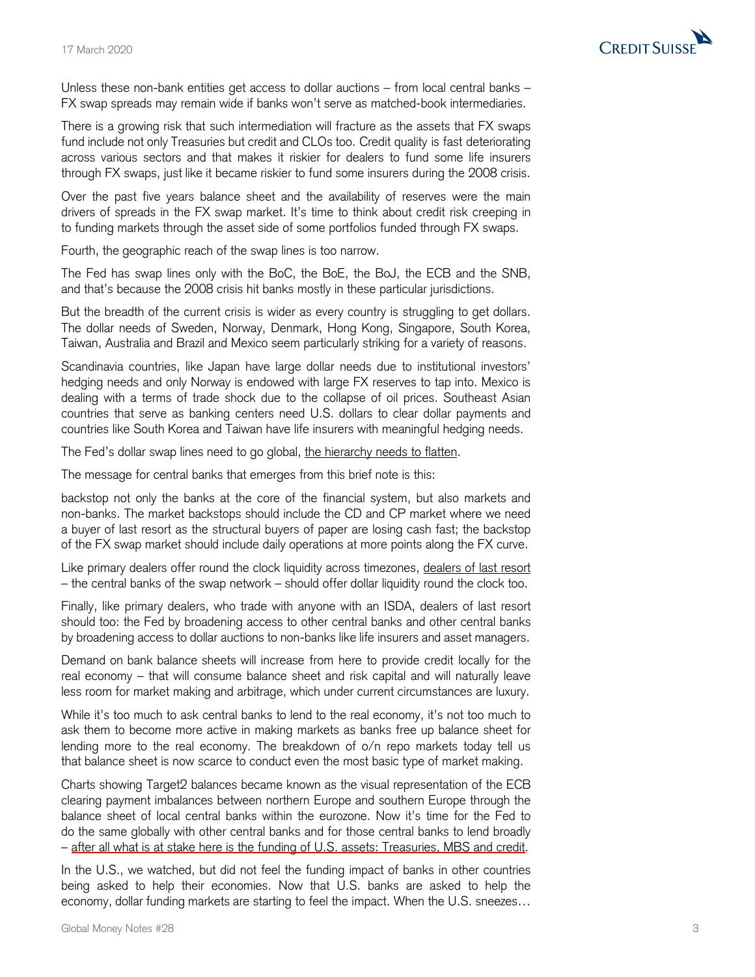

Unless these non-bank entities get access to dollar auctions – from local central banks – FX swap spreads may remain wide if banks won't serve as matched-book intermediaries.

There is a growing risk that such intermediation will fracture as the assets that FX swaps fund include not only Treasuries but credit and CLOs too. Credit quality is fast deteriorating across various sectors and that makes it riskier for dealers to fund some life insurers through FX swaps, just like it became riskier to fund some insurers during the 2008 crisis.

Over the past five years balance sheet and the availability of reserves were the main drivers of spreads in the FX swap market. It's time to think about credit risk creeping in to funding markets through the asset side of some portfolios funded through FX swaps.

Fourth, the geographic reach of the swap lines is too narrow.

The Fed has swap lines only with the BoC, the BoE, the BoJ, the ECB and the SNB, and that's because the 2008 crisis hit banks mostly in these particular jurisdictions.

But the breadth of the current crisis is wider as every country is struggling to get dollars. The dollar needs of Sweden, Norway, Denmark, Hong Kong, Singapore, South Korea, Taiwan, Australia and Brazil and Mexico seem particularly striking for a variety of reasons.

Scandinavia countries, like Japan have large dollar needs due to institutional investors' hedging needs and only Norway is endowed with large FX reserves to tap into. Mexico is dealing with a terms of trade shock due to the collapse of oil prices. Southeast Asian countries that serve as banking centers need U.S. dollars to clear dollar payments and countries like South Korea and Taiwan have life insurers with meaningful hedging needs.

The Fed's dollar swap lines need to go global, the hierarchy needs to flatten.

The message for central banks that emerges from this brief note is this:

backstop not only the banks at the core of the financial system, but also markets and non-banks. The market backstops should include the CD and CP market where we need a buyer of last resort as the structural buyers of paper are losing cash fast; the backstop of the FX swap market should include daily operations at more points along the FX curve.

Like primary dealers offer round the clock liquidity across timezones, dealers of last resort – the central banks of the swap network – should offer dollar liquidity round the clock too.

Finally, like primary dealers, who trade with anyone with an ISDA, dealers of last resort should too: the Fed by broadening access to other central banks and other central banks by broadening access to dollar auctions to non-banks like life insurers and asset managers.

Demand on bank balance sheets will increase from here to provide credit locally for the real economy – that will consume balance sheet and risk capital and will naturally leave less room for market making and arbitrage, which under current circumstances are luxury.

While it's too much to ask central banks to lend to the real economy, it's not too much to ask them to become more active in making markets as banks free up balance sheet for lending more to the real economy. The breakdown of o/n repo markets today tell us that balance sheet is now scarce to conduct even the most basic type of market making.

Charts showing Target2 balances became known as the visual representation of the ECB clearing payment imbalances between northern Europe and southern Europe through the balance sheet of local central banks within the eurozone. Now it's time for the Fed to do the same globally with other central banks and for those central banks to lend broadly – after all what is at stake here is the funding of U.S. assets: Treasuries, MBS and credit.

In the U.S., we watched, but did not feel the funding impact of banks in other countries being asked to help their economies. Now that U.S. banks are asked to help the economy, dollar funding markets are starting to feel the impact. When the U.S. sneezes…